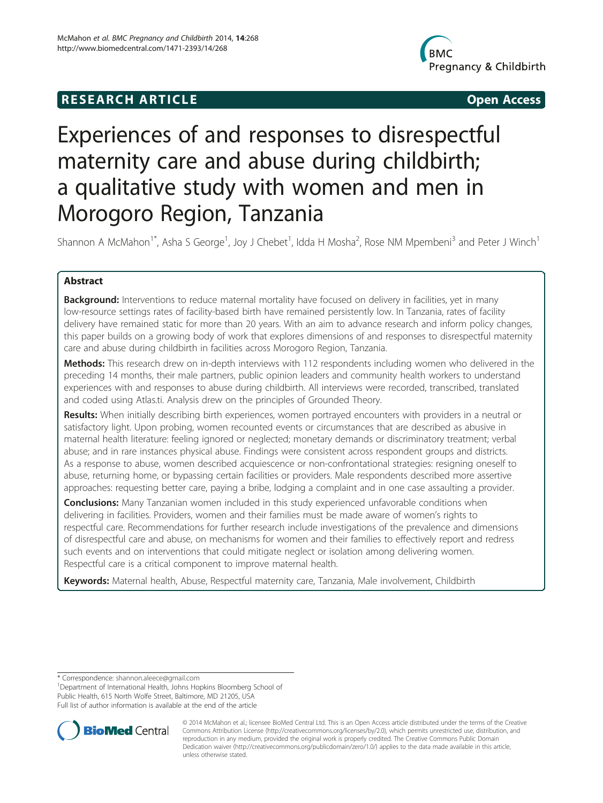# **RESEARCH ARTICLE Example 2014 Open Access**



# Experiences of and responses to disrespectful maternity care and abuse during childbirth; a qualitative study with women and men in Morogoro Region, Tanzania

Shannon A McMahon<sup>1\*</sup>, Asha S George<sup>1</sup>, Joy J Chebet<sup>1</sup>, Idda H Mosha<sup>2</sup>, Rose NM Mpembeni<sup>3</sup> and Peter J Winch<sup>1</sup>

# Abstract

**Background:** Interventions to reduce maternal mortality have focused on delivery in facilities, yet in many low-resource settings rates of facility-based birth have remained persistently low. In Tanzania, rates of facility delivery have remained static for more than 20 years. With an aim to advance research and inform policy changes, this paper builds on a growing body of work that explores dimensions of and responses to disrespectful maternity care and abuse during childbirth in facilities across Morogoro Region, Tanzania.

Methods: This research drew on in-depth interviews with 112 respondents including women who delivered in the preceding 14 months, their male partners, public opinion leaders and community health workers to understand experiences with and responses to abuse during childbirth. All interviews were recorded, transcribed, translated and coded using Atlas.ti. Analysis drew on the principles of Grounded Theory.

Results: When initially describing birth experiences, women portrayed encounters with providers in a neutral or satisfactory light. Upon probing, women recounted events or circumstances that are described as abusive in maternal health literature: feeling ignored or neglected; monetary demands or discriminatory treatment; verbal abuse; and in rare instances physical abuse. Findings were consistent across respondent groups and districts. As a response to abuse, women described acquiescence or non-confrontational strategies: resigning oneself to abuse, returning home, or bypassing certain facilities or providers. Male respondents described more assertive approaches: requesting better care, paying a bribe, lodging a complaint and in one case assaulting a provider.

Conclusions: Many Tanzanian women included in this study experienced unfavorable conditions when delivering in facilities. Providers, women and their families must be made aware of women's rights to respectful care. Recommendations for further research include investigations of the prevalence and dimensions of disrespectful care and abuse, on mechanisms for women and their families to effectively report and redress such events and on interventions that could mitigate neglect or isolation among delivering women. Respectful care is a critical component to improve maternal health.

Keywords: Maternal health, Abuse, Respectful maternity care, Tanzania, Male involvement, Childbirth

\* Correspondence: [shannon.aleece@gmail.com](mailto:shannon.aleece@gmail.com) <sup>1</sup>

<sup>1</sup>Department of International Health, Johns Hopkins Bloomberg School of Public Health, 615 North Wolfe Street, Baltimore, MD 21205, USA Full list of author information is available at the end of the article



© 2014 McMahon et al.; licensee BioMed Central Ltd. This is an Open Access article distributed under the terms of the Creative Commons Attribution License [\(http://creativecommons.org/licenses/by/2.0\)](http://creativecommons.org/licenses/by/2.0), which permits unrestricted use, distribution, and reproduction in any medium, provided the original work is properly credited. The Creative Commons Public Domain Dedication waiver [\(http://creativecommons.org/publicdomain/zero/1.0/](http://creativecommons.org/publicdomain/zero/1.0/)) applies to the data made available in this article, unless otherwise stated.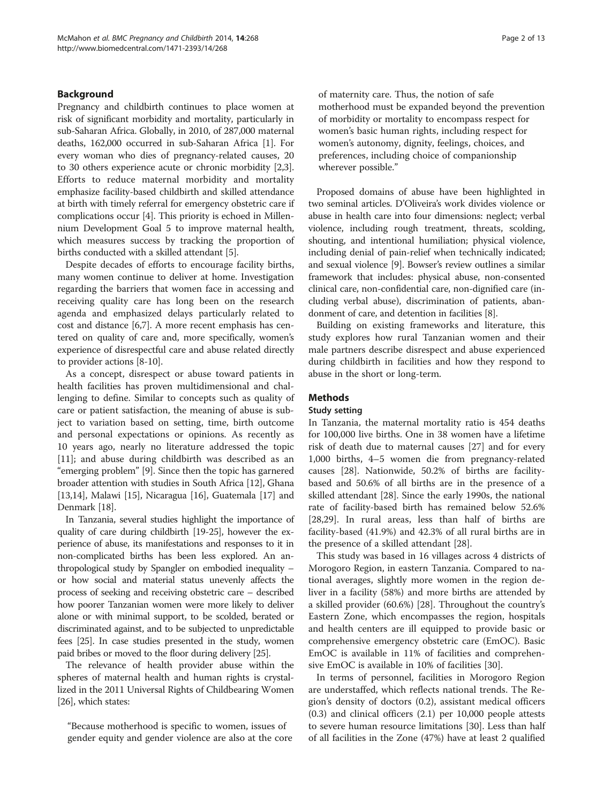# Background

Pregnancy and childbirth continues to place women at risk of significant morbidity and mortality, particularly in sub-Saharan Africa. Globally, in 2010, of 287,000 maternal deaths, 162,000 occurred in sub-Saharan Africa [\[1](#page-11-0)]. For every woman who dies of pregnancy-related causes, 20 to 30 others experience acute or chronic morbidity [[2](#page-11-0),[3](#page-11-0)]. Efforts to reduce maternal morbidity and mortality emphasize facility-based childbirth and skilled attendance at birth with timely referral for emergency obstetric care if complications occur [[4\]](#page-11-0). This priority is echoed in Millennium Development Goal 5 to improve maternal health, which measures success by tracking the proportion of births conducted with a skilled attendant [[5\]](#page-11-0).

Despite decades of efforts to encourage facility births, many women continue to deliver at home. Investigation regarding the barriers that women face in accessing and receiving quality care has long been on the research agenda and emphasized delays particularly related to cost and distance [\[6,7\]](#page-11-0). A more recent emphasis has centered on quality of care and, more specifically, women's experience of disrespectful care and abuse related directly to provider actions [[8-10\]](#page-11-0).

As a concept, disrespect or abuse toward patients in health facilities has proven multidimensional and challenging to define. Similar to concepts such as quality of care or patient satisfaction, the meaning of abuse is subject to variation based on setting, time, birth outcome and personal expectations or opinions. As recently as 10 years ago, nearly no literature addressed the topic [[11\]](#page-11-0); and abuse during childbirth was described as an "emerging problem" [\[9](#page-11-0)]. Since then the topic has garnered broader attention with studies in South Africa [[12](#page-11-0)], Ghana [[13,14](#page-11-0)], Malawi [[15](#page-11-0)], Nicaragua [\[16\]](#page-11-0), Guatemala [\[17](#page-11-0)] and Denmark [[18\]](#page-11-0).

In Tanzania, several studies highlight the importance of quality of care during childbirth [[19-25\]](#page-11-0), however the experience of abuse, its manifestations and responses to it in non-complicated births has been less explored. An anthropological study by Spangler on embodied inequality – or how social and material status unevenly affects the process of seeking and receiving obstetric care – described how poorer Tanzanian women were more likely to deliver alone or with minimal support, to be scolded, berated or discriminated against, and to be subjected to unpredictable fees [\[25](#page-11-0)]. In case studies presented in the study, women paid bribes or moved to the floor during delivery [\[25](#page-11-0)].

The relevance of health provider abuse within the spheres of maternal health and human rights is crystallized in the 2011 Universal Rights of Childbearing Women [[26](#page-11-0)], which states:

"Because motherhood is specific to women, issues of gender equity and gender violence are also at the core of maternity care. Thus, the notion of safe motherhood must be expanded beyond the prevention of morbidity or mortality to encompass respect for women's basic human rights, including respect for women's autonomy, dignity, feelings, choices, and preferences, including choice of companionship wherever possible."

Proposed domains of abuse have been highlighted in two seminal articles. D'Oliveira's work divides violence or abuse in health care into four dimensions: neglect; verbal violence, including rough treatment, threats, scolding, shouting, and intentional humiliation; physical violence, including denial of pain-relief when technically indicated; and sexual violence [\[9](#page-11-0)]. Bowser's review outlines a similar framework that includes: physical abuse, non-consented clinical care, non-confidential care, non-dignified care (including verbal abuse), discrimination of patients, abandonment of care, and detention in facilities [[8\]](#page-11-0).

Building on existing frameworks and literature, this study explores how rural Tanzanian women and their male partners describe disrespect and abuse experienced during childbirth in facilities and how they respond to abuse in the short or long-term.

# Methods

## Study setting

In Tanzania, the maternal mortality ratio is 454 deaths for 100,000 live births. One in 38 women have a lifetime risk of death due to maternal causes [[27\]](#page-11-0) and for every 1,000 births, 4–5 women die from pregnancy-related causes [[28\]](#page-11-0). Nationwide, 50.2% of births are facilitybased and 50.6% of all births are in the presence of a skilled attendant [[28\]](#page-11-0). Since the early 1990s, the national rate of facility-based birth has remained below 52.6% [[28,29\]](#page-11-0). In rural areas, less than half of births are facility-based (41.9%) and 42.3% of all rural births are in the presence of a skilled attendant [\[28](#page-11-0)].

This study was based in 16 villages across 4 districts of Morogoro Region, in eastern Tanzania. Compared to national averages, slightly more women in the region deliver in a facility (58%) and more births are attended by a skilled provider (60.6%) [\[28\]](#page-11-0). Throughout the country's Eastern Zone, which encompasses the region, hospitals and health centers are ill equipped to provide basic or comprehensive emergency obstetric care (EmOC). Basic EmOC is available in 11% of facilities and comprehensive EmOC is available in 10% of facilities [[30](#page-11-0)].

In terms of personnel, facilities in Morogoro Region are understaffed, which reflects national trends. The Region's density of doctors (0.2), assistant medical officers (0.3) and clinical officers (2.1) per 10,000 people attests to severe human resource limitations [\[30](#page-11-0)]. Less than half of all facilities in the Zone (47%) have at least 2 qualified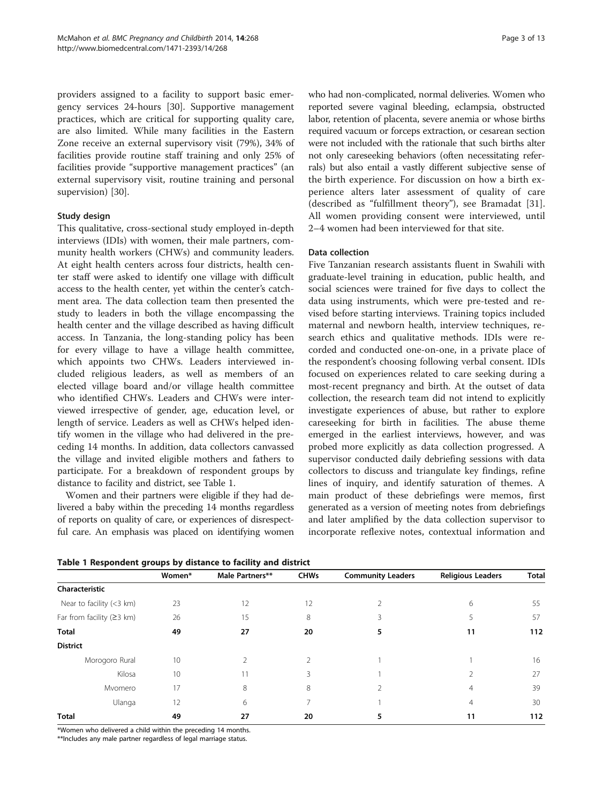providers assigned to a facility to support basic emergency services 24-hours [[30\]](#page-11-0). Supportive management practices, which are critical for supporting quality care, are also limited. While many facilities in the Eastern Zone receive an external supervisory visit (79%), 34% of facilities provide routine staff training and only 25% of facilities provide "supportive management practices" (an external supervisory visit, routine training and personal supervision) [[30](#page-11-0)].

#### Study design

This qualitative, cross-sectional study employed in-depth interviews (IDIs) with women, their male partners, community health workers (CHWs) and community leaders. At eight health centers across four districts, health center staff were asked to identify one village with difficult access to the health center, yet within the center's catchment area. The data collection team then presented the study to leaders in both the village encompassing the health center and the village described as having difficult access. In Tanzania, the long-standing policy has been for every village to have a village health committee, which appoints two CHWs. Leaders interviewed included religious leaders, as well as members of an elected village board and/or village health committee who identified CHWs. Leaders and CHWs were interviewed irrespective of gender, age, education level, or length of service. Leaders as well as CHWs helped identify women in the village who had delivered in the preceding 14 months. In addition, data collectors canvassed the village and invited eligible mothers and fathers to participate. For a breakdown of respondent groups by distance to facility and district, see Table 1.

Women and their partners were eligible if they had delivered a baby within the preceding 14 months regardless of reports on quality of care, or experiences of disrespectful care. An emphasis was placed on identifying women

Table 1 Respondent groups by distance to facility and district

who had non-complicated, normal deliveries. Women who reported severe vaginal bleeding, eclampsia, obstructed labor, retention of placenta, severe anemia or whose births required vacuum or forceps extraction, or cesarean section were not included with the rationale that such births alter not only careseeking behaviors (often necessitating referrals) but also entail a vastly different subjective sense of the birth experience. For discussion on how a birth experience alters later assessment of quality of care (described as "fulfillment theory"), see Bramadat [\[31](#page-11-0)]. All women providing consent were interviewed, until 2–4 women had been interviewed for that site.

# Data collection

Five Tanzanian research assistants fluent in Swahili with graduate-level training in education, public health, and social sciences were trained for five days to collect the data using instruments, which were pre-tested and revised before starting interviews. Training topics included maternal and newborn health, interview techniques, research ethics and qualitative methods. IDIs were recorded and conducted one-on-one, in a private place of the respondent's choosing following verbal consent. IDIs focused on experiences related to care seeking during a most-recent pregnancy and birth. At the outset of data collection, the research team did not intend to explicitly investigate experiences of abuse, but rather to explore careseeking for birth in facilities. The abuse theme emerged in the earliest interviews, however, and was probed more explicitly as data collection progressed. A supervisor conducted daily debriefing sessions with data collectors to discuss and triangulate key findings, refine lines of inquiry, and identify saturation of themes. A main product of these debriefings were memos, first generated as a version of meeting notes from debriefings and later amplified by the data collection supervisor to incorporate reflexive notes, contextual information and

| Table Thespondent groups by distance to facility and district |  |              |                 |                        |  |
|---------------------------------------------------------------|--|--------------|-----------------|------------------------|--|
|                                                               |  | $Mn$ men $*$ | Male Partners** | <b>CHW<sub>s</sub></b> |  |

|                                     | Women* | Male Partners** | <b>CHWs</b> | <b>Community Leaders</b> | <b>Religious Leaders</b> | <b>Total</b> |
|-------------------------------------|--------|-----------------|-------------|--------------------------|--------------------------|--------------|
| Characteristic                      |        |                 |             |                          |                          |              |
| Near to facility (<3 km)            | 23     | 12              | 12          | 2                        | 6                        | 55           |
| Far from facility $(23 \text{ km})$ | 26     | 15              | 8           | 3                        |                          | 57           |
| <b>Total</b>                        | 49     | 27              | 20          | 5                        | 11                       | 112          |
| <b>District</b>                     |        |                 |             |                          |                          |              |
| Morogoro Rural                      | 10     |                 | 2           |                          |                          | 16           |
| Kilosa                              | 10     | 11              | 3           |                          | $\mathfrak{D}$           | 27           |
| Mvomero                             | 17     | 8               | 8           | 2                        | 4                        | 39           |
| Ulanga                              | 12     | 6               | 7           |                          | 4                        | 30           |
| <b>Total</b>                        | 49     | 27              | 20          | 5                        | 11                       | 112          |

\*Women who delivered a child within the preceding 14 months.

\*\*Includes any male partner regardless of legal marriage status.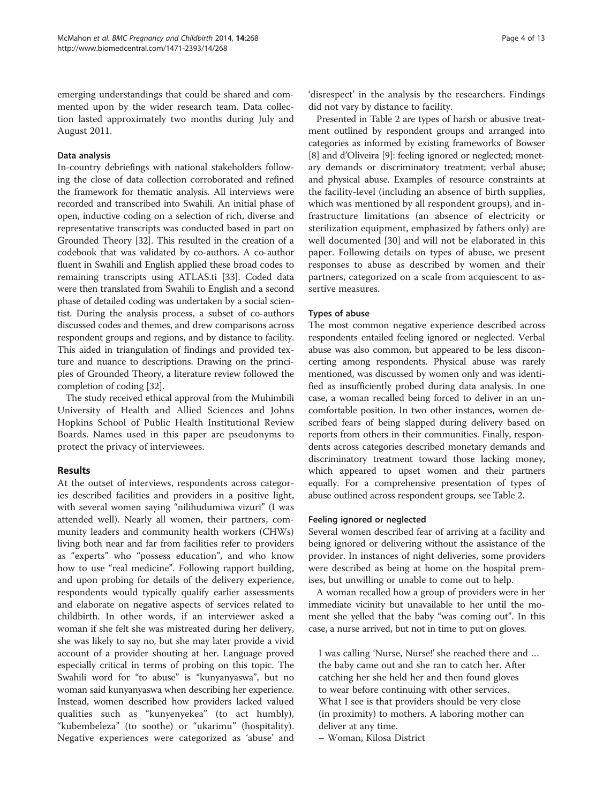emerging understandings that could be shared and commented upon by the wider research team. Data collection lasted approximately two months during July and August 2011.

# Data analysis

In-country debriefings with national stakeholders following the close of data collection corroborated and refined the framework for thematic analysis. All interviews were recorded and transcribed into Swahili. An initial phase of open, inductive coding on a selection of rich, diverse and representative transcripts was conducted based in part on Grounded Theory [[32](#page-11-0)]. This resulted in the creation of a codebook that was validated by co-authors. A co-author fluent in Swahili and English applied these broad codes to remaining transcripts using ATLAS.ti [\[33](#page-11-0)]. Coded data were then translated from Swahili to English and a second phase of detailed coding was undertaken by a social scientist. During the analysis process, a subset of co-authors discussed codes and themes, and drew comparisons across respondent groups and regions, and by distance to facility. This aided in triangulation of findings and provided texture and nuance to descriptions. Drawing on the principles of Grounded Theory, a literature review followed the completion of coding [[32](#page-11-0)].

The study received ethical approval from the Muhimbili University of Health and Allied Sciences and Johns Hopkins School of Public Health Institutional Review Boards. Names used in this paper are pseudonyms to protect the privacy of interviewees.

# Results

At the outset of interviews, respondents across categories described facilities and providers in a positive light, with several women saying "nilihudumiwa vizuri" (I was attended well). Nearly all women, their partners, community leaders and community health workers (CHWs) living both near and far from facilities refer to providers as "experts" who "possess education", and who know how to use "real medicine". Following rapport building, and upon probing for details of the delivery experience, respondents would typically qualify earlier assessments and elaborate on negative aspects of services related to childbirth. In other words, if an interviewer asked a woman if she felt she was mistreated during her delivery, she was likely to say no, but she may later provide a vivid account of a provider shouting at her. Language proved especially critical in terms of probing on this topic. The Swahili word for "to abuse" is "kunyanyaswa", but no woman said kunyanyaswa when describing her experience. Instead, women described how providers lacked valued qualities such as "kunyenyekea" (to act humbly), "kubembeleza" (to soothe) or "ukarimu" (hospitality). Negative experiences were categorized as 'abuse' and

'disrespect' in the analysis by the researchers. Findings did not vary by distance to facility.

Presented in Table [2](#page-4-0) are types of harsh or abusive treatment outlined by respondent groups and arranged into categories as informed by existing frameworks of Bowser [[8\]](#page-11-0) and d'Oliveira [\[9](#page-11-0)]: feeling ignored or neglected; monetary demands or discriminatory treatment; verbal abuse; and physical abuse. Examples of resource constraints at the facility-level (including an absence of birth supplies, which was mentioned by all respondent groups), and infrastructure limitations (an absence of electricity or sterilization equipment, emphasized by fathers only) are well documented [[30\]](#page-11-0) and will not be elaborated in this paper. Following details on types of abuse, we present responses to abuse as described by women and their partners, categorized on a scale from acquiescent to assertive measures.

# Types of abuse

The most common negative experience described across respondents entailed feeling ignored or neglected. Verbal abuse was also common, but appeared to be less disconcerting among respondents. Physical abuse was rarely mentioned, was discussed by women only and was identified as insufficiently probed during data analysis. In one case, a woman recalled being forced to deliver in an uncomfortable position. In two other instances, women described fears of being slapped during delivery based on reports from others in their communities. Finally, respondents across categories described monetary demands and discriminatory treatment toward those lacking money, which appeared to upset women and their partners equally. For a comprehensive presentation of types of abuse outlined across respondent groups, see Table [2](#page-4-0).

#### Feeling ignored or neglected

Several women described fear of arriving at a facility and being ignored or delivering without the assistance of the provider. In instances of night deliveries, some providers were described as being at home on the hospital premises, but unwilling or unable to come out to help.

A woman recalled how a group of providers were in her immediate vicinity but unavailable to her until the moment she yelled that the baby "was coming out". In this case, a nurse arrived, but not in time to put on gloves.

I was calling 'Nurse, Nurse!' she reached there and … the baby came out and she ran to catch her. After catching her she held her and then found gloves to wear before continuing with other services. What I see is that providers should be very close (in proximity) to mothers. A laboring mother can deliver at any time.

– Woman, Kilosa District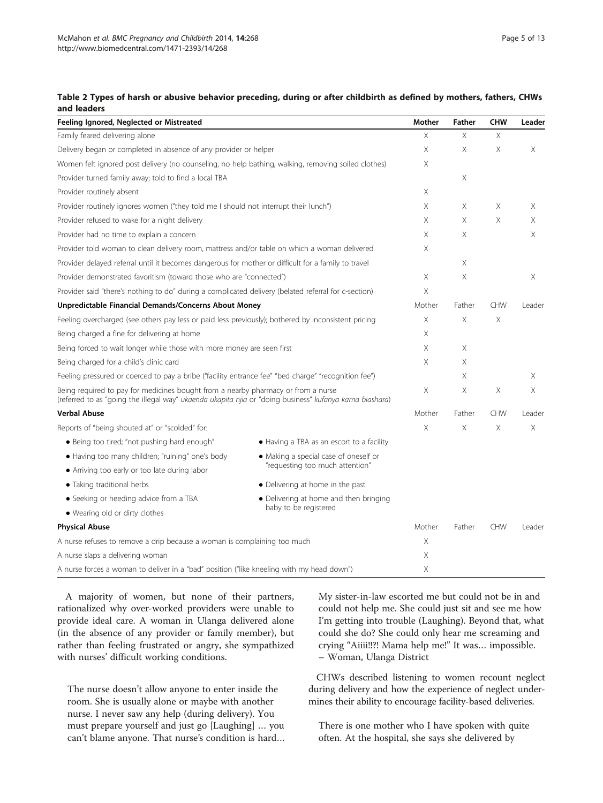# <span id="page-4-0"></span>Table 2 Types of harsh or abusive behavior preceding, during or after childbirth as defined by mothers, fathers, CHWs and leaders

| Feeling Ignored, Neglected or Mistreated                                                                                                                                                     |                                           |        | <b>Father</b> | <b>CHW</b> | Leader |
|----------------------------------------------------------------------------------------------------------------------------------------------------------------------------------------------|-------------------------------------------|--------|---------------|------------|--------|
| Family feared delivering alone                                                                                                                                                               |                                           |        | X             | X          |        |
| Delivery began or completed in absence of any provider or helper                                                                                                                             |                                           |        | Χ             | Χ          | Χ      |
| Women felt ignored post delivery (no counseling, no help bathing, walking, removing soiled clothes)                                                                                          |                                           |        |               |            |        |
| Provider turned family away; told to find a local TBA                                                                                                                                        |                                           |        | Χ             |            |        |
| Provider routinely absent                                                                                                                                                                    |                                           | X      |               |            |        |
| Provider routinely ignores women ("they told me I should not interrupt their lunch")                                                                                                         |                                           | X      | Χ             | X          | X      |
| Provider refused to wake for a night delivery                                                                                                                                                |                                           | Χ      | Χ             | X          | X      |
| Provider had no time to explain a concern                                                                                                                                                    |                                           |        | X             |            | X      |
| Provider told woman to clean delivery room, mattress and/or table on which a woman delivered                                                                                                 |                                           |        |               |            |        |
| Provider delayed referral until it becomes dangerous for mother or difficult for a family to travel                                                                                          |                                           |        | Χ             |            |        |
| Provider demonstrated favoritism (toward those who are "connected")                                                                                                                          |                                           |        | Χ             |            | Χ      |
| Provider said "there's nothing to do" during a complicated delivery (belated referral for c-section)                                                                                         |                                           |        |               |            |        |
| Unpredictable Financial Demands/Concerns About Money                                                                                                                                         |                                           |        | Father        | CHW        | Leader |
| Feeling overcharged (see others pay less or paid less previously); bothered by inconsistent pricing                                                                                          |                                           | X      | X             | X          |        |
| Being charged a fine for delivering at home                                                                                                                                                  |                                           | X      |               |            |        |
| Being forced to wait longer while those with more money are seen first                                                                                                                       |                                           |        | Χ             |            |        |
| Being charged for a child's clinic card                                                                                                                                                      |                                           |        | X             |            |        |
| ("Feeling pressured or coerced to pay a bribe ("facility entrance fee" "bed charge" "recognition fee                                                                                         |                                           |        | Χ             |            | X      |
| Being required to pay for medicines bought from a nearby pharmacy or from a nurse<br>(referred to as "going the illegal way" ukaenda ukapita njia or "doing business" kufanya kama biashara) |                                           |        | Χ             | Χ          | X      |
| <b>Verbal Abuse</b>                                                                                                                                                                          |                                           | Mother | Father        | CHW        | Leader |
| Reports of "being shouted at" or "scolded" for:                                                                                                                                              |                                           | X      | Χ             | Χ          | X      |
| · Being too tired; "not pushing hard enough"                                                                                                                                                 | • Having a TBA as an escort to a facility |        |               |            |        |
| · Having too many children; "ruining" one's body                                                                                                                                             | • Making a special case of oneself or     |        |               |            |        |
| • Arriving too early or too late during labor                                                                                                                                                | "requesting too much attention"           |        |               |            |        |
| • Taking traditional herbs                                                                                                                                                                   | • Delivering at home in the past          |        |               |            |        |
| • Seeking or heeding advice from a TBA                                                                                                                                                       | • Delivering at home and then bringing    |        |               |            |        |
| • Wearing old or dirty clothes                                                                                                                                                               | baby to be registered                     |        |               |            |        |
| <b>Physical Abuse</b>                                                                                                                                                                        |                                           |        | Father        | CHW        | Leader |
| A nurse refuses to remove a drip because a woman is complaining too much                                                                                                                     |                                           |        |               |            |        |
| A nurse slaps a delivering woman                                                                                                                                                             |                                           |        |               |            |        |
| A nurse forces a woman to deliver in a "bad" position ("like kneeling with my head down")                                                                                                    |                                           |        |               |            |        |

A majority of women, but none of their partners, rationalized why over-worked providers were unable to provide ideal care. A woman in Ulanga delivered alone (in the absence of any provider or family member), but rather than feeling frustrated or angry, she sympathized with nurses' difficult working conditions.

The nurse doesn't allow anyone to enter inside the room. She is usually alone or maybe with another nurse. I never saw any help (during delivery). You must prepare yourself and just go [Laughing] … you can't blame anyone. That nurse's condition is hard… My sister-in-law escorted me but could not be in and could not help me. She could just sit and see me how I'm getting into trouble (Laughing). Beyond that, what could she do? She could only hear me screaming and crying "Aiiii!!?! Mama help me!" It was… impossible. – Woman, Ulanga District

CHWs described listening to women recount neglect during delivery and how the experience of neglect undermines their ability to encourage facility-based deliveries.

There is one mother who I have spoken with quite often. At the hospital, she says she delivered by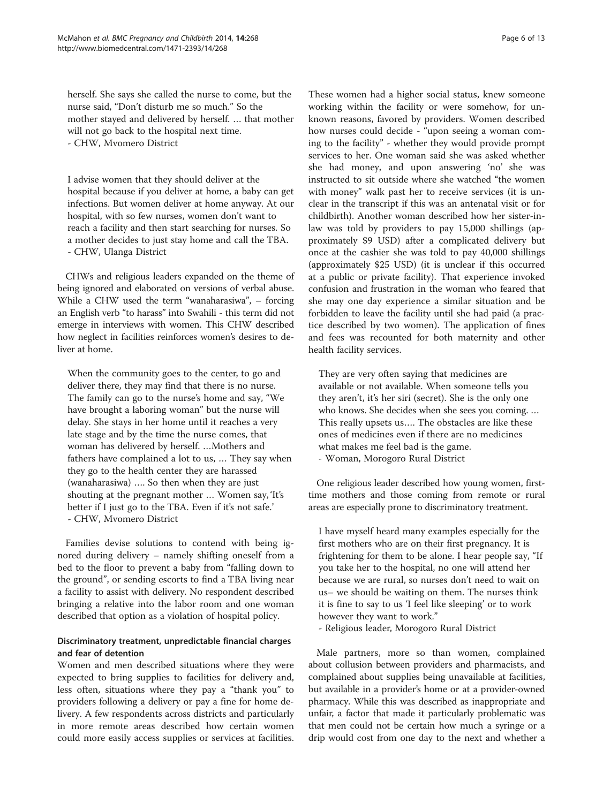herself. She says she called the nurse to come, but the nurse said, "Don't disturb me so much." So the mother stayed and delivered by herself. … that mother will not go back to the hospital next time. - CHW, Mvomero District

I advise women that they should deliver at the hospital because if you deliver at home, a baby can get infections. But women deliver at home anyway. At our hospital, with so few nurses, women don't want to reach a facility and then start searching for nurses. So a mother decides to just stay home and call the TBA. - CHW, Ulanga District

CHWs and religious leaders expanded on the theme of being ignored and elaborated on versions of verbal abuse. While a CHW used the term "wanaharasiwa", – forcing an English verb "to harass" into Swahili - this term did not emerge in interviews with women. This CHW described how neglect in facilities reinforces women's desires to deliver at home.

When the community goes to the center, to go and deliver there, they may find that there is no nurse. The family can go to the nurse's home and say, "We have brought a laboring woman" but the nurse will delay. She stays in her home until it reaches a very late stage and by the time the nurse comes, that woman has delivered by herself. …Mothers and fathers have complained a lot to us, … They say when they go to the health center they are harassed (wanaharasiwa) …. So then when they are just shouting at the pregnant mother … Women say, 'It's better if I just go to the TBA. Even if it's not safe.' - CHW, Mvomero District

Families devise solutions to contend with being ignored during delivery – namely shifting oneself from a bed to the floor to prevent a baby from "falling down to the ground", or sending escorts to find a TBA living near a facility to assist with delivery. No respondent described bringing a relative into the labor room and one woman described that option as a violation of hospital policy.

# Discriminatory treatment, unpredictable financial charges and fear of detention

Women and men described situations where they were expected to bring supplies to facilities for delivery and, less often, situations where they pay a "thank you" to providers following a delivery or pay a fine for home delivery. A few respondents across districts and particularly in more remote areas described how certain women could more easily access supplies or services at facilities.

These women had a higher social status, knew someone working within the facility or were somehow, for unknown reasons, favored by providers. Women described how nurses could decide - "upon seeing a woman coming to the facility" - whether they would provide prompt services to her. One woman said she was asked whether she had money, and upon answering 'no' she was instructed to sit outside where she watched "the women with money" walk past her to receive services (it is unclear in the transcript if this was an antenatal visit or for childbirth). Another woman described how her sister-inlaw was told by providers to pay 15,000 shillings (approximately \$9 USD) after a complicated delivery but once at the cashier she was told to pay 40,000 shillings (approximately \$25 USD) (it is unclear if this occurred at a public or private facility). That experience invoked confusion and frustration in the woman who feared that she may one day experience a similar situation and be forbidden to leave the facility until she had paid (a practice described by two women). The application of fines and fees was recounted for both maternity and other health facility services.

They are very often saying that medicines are available or not available. When someone tells you they aren't, it's her siri (secret). She is the only one who knows. She decides when she sees you coming. … This really upsets us…. The obstacles are like these ones of medicines even if there are no medicines what makes me feel bad is the game. - Woman, Morogoro Rural District

One religious leader described how young women, firsttime mothers and those coming from remote or rural areas are especially prone to discriminatory treatment.

I have myself heard many examples especially for the first mothers who are on their first pregnancy. It is frightening for them to be alone. I hear people say, "If you take her to the hospital, no one will attend her because we are rural, so nurses don't need to wait on us– we should be waiting on them. The nurses think it is fine to say to us 'I feel like sleeping' or to work however they want to work."

- Religious leader, Morogoro Rural District

Male partners, more so than women, complained about collusion between providers and pharmacists, and complained about supplies being unavailable at facilities, but available in a provider's home or at a provider-owned pharmacy. While this was described as inappropriate and unfair, a factor that made it particularly problematic was that men could not be certain how much a syringe or a drip would cost from one day to the next and whether a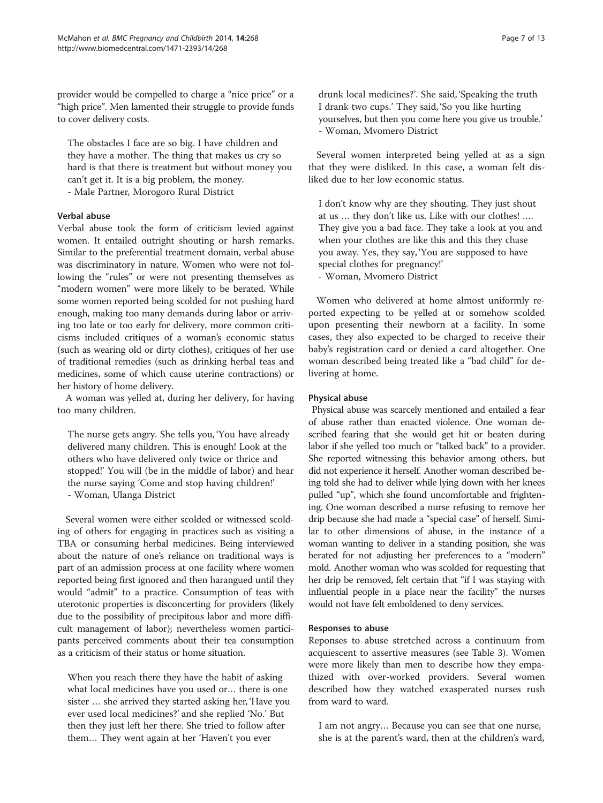provider would be compelled to charge a "nice price" or a "high price". Men lamented their struggle to provide funds to cover delivery costs.

The obstacles I face are so big. I have children and they have a mother. The thing that makes us cry so hard is that there is treatment but without money you can't get it. It is a big problem, the money.

- Male Partner, Morogoro Rural District

#### Verbal abuse

Verbal abuse took the form of criticism levied against women. It entailed outright shouting or harsh remarks. Similar to the preferential treatment domain, verbal abuse was discriminatory in nature. Women who were not following the "rules" or were not presenting themselves as "modern women" were more likely to be berated. While some women reported being scolded for not pushing hard enough, making too many demands during labor or arriving too late or too early for delivery, more common criticisms included critiques of a woman's economic status (such as wearing old or dirty clothes), critiques of her use of traditional remedies (such as drinking herbal teas and medicines, some of which cause uterine contractions) or her history of home delivery.

A woman was yelled at, during her delivery, for having too many children.

The nurse gets angry. She tells you, 'You have already delivered many children. This is enough! Look at the others who have delivered only twice or thrice and stopped!' You will (be in the middle of labor) and hear the nurse saying 'Come and stop having children!' - Woman, Ulanga District

Several women were either scolded or witnessed scolding of others for engaging in practices such as visiting a TBA or consuming herbal medicines. Being interviewed about the nature of one's reliance on traditional ways is part of an admission process at one facility where women reported being first ignored and then harangued until they would "admit" to a practice. Consumption of teas with uterotonic properties is disconcerting for providers (likely due to the possibility of precipitous labor and more difficult management of labor); nevertheless women participants perceived comments about their tea consumption as a criticism of their status or home situation.

When you reach there they have the habit of asking what local medicines have you used or… there is one sister … she arrived they started asking her, 'Have you ever used local medicines?' and she replied 'No.' But then they just left her there. She tried to follow after them… They went again at her 'Haven't you ever

drunk local medicines?'. She said, 'Speaking the truth I drank two cups.' They said, 'So you like hurting yourselves, but then you come here you give us trouble.' - Woman, Mvomero District

Several women interpreted being yelled at as a sign that they were disliked. In this case, a woman felt disliked due to her low economic status.

I don't know why are they shouting. They just shout at us … they don't like us. Like with our clothes! …. They give you a bad face. They take a look at you and when your clothes are like this and this they chase you away. Yes, they say, 'You are supposed to have special clothes for pregnancy!' - Woman, Mvomero District

Women who delivered at home almost uniformly reported expecting to be yelled at or somehow scolded upon presenting their newborn at a facility. In some cases, they also expected to be charged to receive their baby's registration card or denied a card altogether. One woman described being treated like a "bad child" for delivering at home.

#### Physical abuse

Physical abuse was scarcely mentioned and entailed a fear of abuse rather than enacted violence. One woman described fearing that she would get hit or beaten during labor if she yelled too much or "talked back" to a provider. She reported witnessing this behavior among others, but did not experience it herself. Another woman described being told she had to deliver while lying down with her knees pulled "up", which she found uncomfortable and frightening. One woman described a nurse refusing to remove her drip because she had made a "special case" of herself. Similar to other dimensions of abuse, in the instance of a woman wanting to deliver in a standing position, she was berated for not adjusting her preferences to a "modern" mold. Another woman who was scolded for requesting that her drip be removed, felt certain that "if I was staying with influential people in a place near the facility" the nurses would not have felt emboldened to deny services.

#### Responses to abuse

Reponses to abuse stretched across a continuum from acquiescent to assertive measures (see Table [3\)](#page-7-0). Women were more likely than men to describe how they empathized with over-worked providers. Several women described how they watched exasperated nurses rush from ward to ward.

I am not angry… Because you can see that one nurse, she is at the parent's ward, then at the children's ward,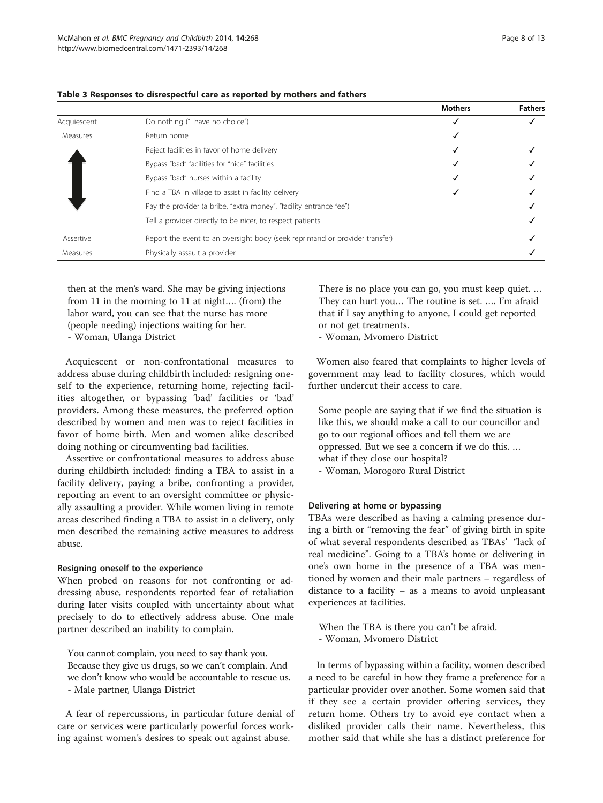|             |                                                                             | <b>Mothers</b> | <b>Fathers</b> |
|-------------|-----------------------------------------------------------------------------|----------------|----------------|
| Acquiescent | Do nothing ("I have no choice")                                             |                |                |
| Measures    | Return home                                                                 |                |                |
|             | Reject facilities in favor of home delivery                                 |                |                |
|             | Bypass "bad" facilities for "nice" facilities                               |                |                |
|             | Bypass "bad" nurses within a facility                                       |                |                |
|             | Find a TBA in village to assist in facility delivery                        |                |                |
|             | Pay the provider (a bribe, "extra money", "facility entrance fee")          |                |                |
|             | Tell a provider directly to be nicer, to respect patients                   |                |                |
| Assertive   | Report the event to an oversight body (seek reprimand or provider transfer) |                |                |
| Measures    | Physically assault a provider                                               |                |                |

#### <span id="page-7-0"></span>Table 3 Responses to disrespectful care as reported by mothers and fathers

then at the men's ward. She may be giving injections from 11 in the morning to 11 at night…. (from) the labor ward, you can see that the nurse has more (people needing) injections waiting for her.

- Woman, Ulanga District

Acquiescent or non-confrontational measures to address abuse during childbirth included: resigning oneself to the experience, returning home, rejecting facilities altogether, or bypassing 'bad' facilities or 'bad' providers. Among these measures, the preferred option described by women and men was to reject facilities in favor of home birth. Men and women alike described doing nothing or circumventing bad facilities.

Assertive or confrontational measures to address abuse during childbirth included: finding a TBA to assist in a facility delivery, paying a bribe, confronting a provider, reporting an event to an oversight committee or physically assaulting a provider. While women living in remote areas described finding a TBA to assist in a delivery, only men described the remaining active measures to address abuse.

#### Resigning oneself to the experience

When probed on reasons for not confronting or addressing abuse, respondents reported fear of retaliation during later visits coupled with uncertainty about what precisely to do to effectively address abuse. One male partner described an inability to complain.

You cannot complain, you need to say thank you. Because they give us drugs, so we can't complain. And we don't know who would be accountable to rescue us. - Male partner, Ulanga District

A fear of repercussions, in particular future denial of care or services were particularly powerful forces working against women's desires to speak out against abuse.

There is no place you can go, you must keep quiet. … They can hurt you… The routine is set. …. I'm afraid that if I say anything to anyone, I could get reported or not get treatments.

- Woman, Mvomero District

Women also feared that complaints to higher levels of government may lead to facility closures, which would further undercut their access to care.

Some people are saying that if we find the situation is like this, we should make a call to our councillor and go to our regional offices and tell them we are oppressed. But we see a concern if we do this. …

- what if they close our hospital?
- Woman, Morogoro Rural District

#### Delivering at home or bypassing

TBAs were described as having a calming presence during a birth or "removing the fear" of giving birth in spite of what several respondents described as TBAs' "lack of real medicine". Going to a TBA's home or delivering in one's own home in the presence of a TBA was mentioned by women and their male partners – regardless of distance to a facility  $-$  as a means to avoid unpleasant experiences at facilities.

When the TBA is there you can't be afraid. - Woman, Mvomero District

In terms of bypassing within a facility, women described a need to be careful in how they frame a preference for a particular provider over another. Some women said that if they see a certain provider offering services, they return home. Others try to avoid eye contact when a disliked provider calls their name. Nevertheless, this mother said that while she has a distinct preference for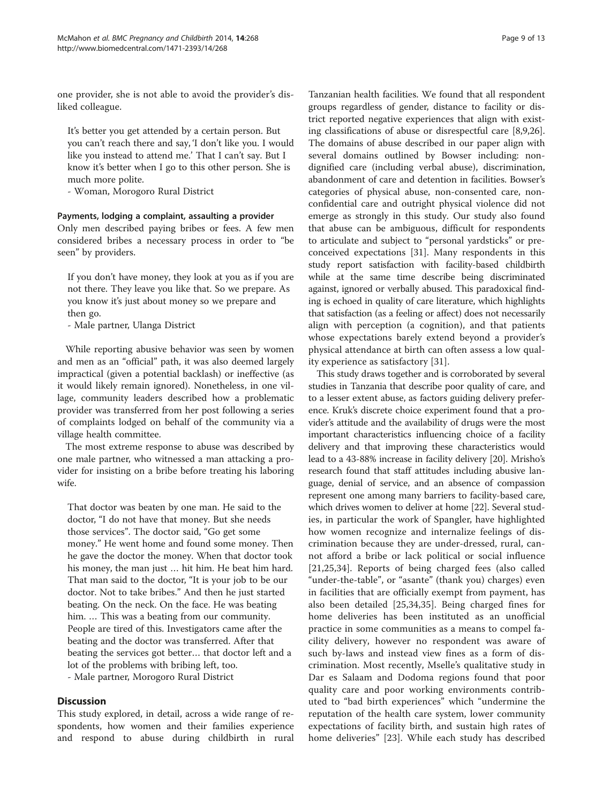one provider, she is not able to avoid the provider's disliked colleague.

It's better you get attended by a certain person. But you can't reach there and say, 'I don't like you. I would like you instead to attend me.' That I can't say. But I know it's better when I go to this other person. She is much more polite.

- Woman, Morogoro Rural District

#### Payments, lodging a complaint, assaulting a provider

Only men described paying bribes or fees. A few men considered bribes a necessary process in order to "be seen" by providers.

If you don't have money, they look at you as if you are not there. They leave you like that. So we prepare. As you know it's just about money so we prepare and then go.

- Male partner, Ulanga District

While reporting abusive behavior was seen by women and men as an "official" path, it was also deemed largely impractical (given a potential backlash) or ineffective (as it would likely remain ignored). Nonetheless, in one village, community leaders described how a problematic provider was transferred from her post following a series of complaints lodged on behalf of the community via a village health committee.

The most extreme response to abuse was described by one male partner, who witnessed a man attacking a provider for insisting on a bribe before treating his laboring wife.

That doctor was beaten by one man. He said to the doctor, "I do not have that money. But she needs those services". The doctor said, "Go get some money." He went home and found some money. Then he gave the doctor the money. When that doctor took his money, the man just … hit him. He beat him hard. That man said to the doctor, "It is your job to be our doctor. Not to take bribes." And then he just started beating. On the neck. On the face. He was beating him. … This was a beating from our community. People are tired of this. Investigators came after the beating and the doctor was transferred. After that beating the services got better… that doctor left and a lot of the problems with bribing left, too. - Male partner, Morogoro Rural District

# **Discussion**

This study explored, in detail, across a wide range of respondents, how women and their families experience and respond to abuse during childbirth in rural

Tanzanian health facilities. We found that all respondent groups regardless of gender, distance to facility or district reported negative experiences that align with existing classifications of abuse or disrespectful care [\[8,9,26](#page-11-0)]. The domains of abuse described in our paper align with several domains outlined by Bowser including: nondignified care (including verbal abuse), discrimination, abandonment of care and detention in facilities. Bowser's categories of physical abuse, non-consented care, nonconfidential care and outright physical violence did not emerge as strongly in this study. Our study also found that abuse can be ambiguous, difficult for respondents to articulate and subject to "personal yardsticks" or preconceived expectations [[31\]](#page-11-0). Many respondents in this study report satisfaction with facility-based childbirth while at the same time describe being discriminated against, ignored or verbally abused. This paradoxical finding is echoed in quality of care literature, which highlights that satisfaction (as a feeling or affect) does not necessarily align with perception (a cognition), and that patients whose expectations barely extend beyond a provider's physical attendance at birth can often assess a low quality experience as satisfactory [[31\]](#page-11-0).

This study draws together and is corroborated by several studies in Tanzania that describe poor quality of care, and to a lesser extent abuse, as factors guiding delivery preference. Kruk's discrete choice experiment found that a provider's attitude and the availability of drugs were the most important characteristics influencing choice of a facility delivery and that improving these characteristics would lead to a 43-88% increase in facility delivery [[20](#page-11-0)]. Mrisho's research found that staff attitudes including abusive language, denial of service, and an absence of compassion represent one among many barriers to facility-based care, which drives women to deliver at home [[22](#page-11-0)]. Several studies, in particular the work of Spangler, have highlighted how women recognize and internalize feelings of discrimination because they are under-dressed, rural, cannot afford a bribe or lack political or social influence [[21,25,34](#page-11-0)]. Reports of being charged fees (also called "under-the-table", or "asante" (thank you) charges) even in facilities that are officially exempt from payment, has also been detailed [\[25](#page-11-0),[34,35\]](#page-11-0). Being charged fines for home deliveries has been instituted as an unofficial practice in some communities as a means to compel facility delivery, however no respondent was aware of such by-laws and instead view fines as a form of discrimination. Most recently, Mselle's qualitative study in Dar es Salaam and Dodoma regions found that poor quality care and poor working environments contributed to "bad birth experiences" which "undermine the reputation of the health care system, lower community expectations of facility birth, and sustain high rates of home deliveries" [\[23](#page-11-0)]. While each study has described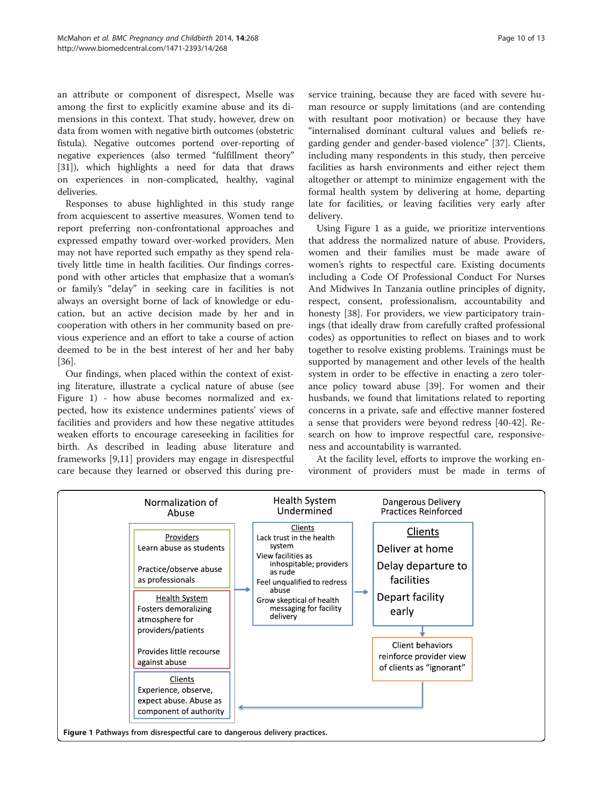an attribute or component of disrespect, Mselle was among the first to explicitly examine abuse and its dimensions in this context. That study, however, drew on data from women with negative birth outcomes (obstetric fistula). Negative outcomes portend over-reporting of negative experiences (also termed "fulfillment theory" [[31](#page-11-0)]), which highlights a need for data that draws on experiences in non-complicated, healthy, vaginal deliveries.

Responses to abuse highlighted in this study range from acquiescent to assertive measures. Women tend to report preferring non-confrontational approaches and expressed empathy toward over-worked providers. Men may not have reported such empathy as they spend relatively little time in health facilities. Our findings correspond with other articles that emphasize that a woman's or family's "delay" in seeking care in facilities is not always an oversight borne of lack of knowledge or education, but an active decision made by her and in cooperation with others in her community based on previous experience and an effort to take a course of action deemed to be in the best interest of her and her baby [[36\]](#page-11-0).

Our findings, when placed within the context of existing literature, illustrate a cyclical nature of abuse (see Figure 1) - how abuse becomes normalized and expected, how its existence undermines patients' views of facilities and providers and how these negative attitudes weaken efforts to encourage careseeking in facilities for birth. As described in leading abuse literature and frameworks [\[9,11](#page-11-0)] providers may engage in disrespectful care because they learned or observed this during pre-

service training, because they are faced with severe human resource or supply limitations (and are contending with resultant poor motivation) or because they have "internalised dominant cultural values and beliefs regarding gender and gender-based violence" [\[37\]](#page-11-0). Clients, including many respondents in this study, then perceive facilities as harsh environments and either reject them altogether or attempt to minimize engagement with the formal health system by delivering at home, departing late for facilities, or leaving facilities very early after delivery.

Using Figure 1 as a guide, we prioritize interventions that address the normalized nature of abuse. Providers, women and their families must be made aware of women's rights to respectful care. Existing documents including a Code Of Professional Conduct For Nurses And Midwives In Tanzania outline principles of dignity, respect, consent, professionalism, accountability and honesty [\[38\]](#page-11-0). For providers, we view participatory trainings (that ideally draw from carefully crafted professional codes) as opportunities to reflect on biases and to work together to resolve existing problems. Trainings must be supported by management and other levels of the health system in order to be effective in enacting a zero tolerance policy toward abuse [[39\]](#page-11-0). For women and their husbands, we found that limitations related to reporting concerns in a private, safe and effective manner fostered a sense that providers were beyond redress [\[40](#page-11-0)-[42\]](#page-11-0). Research on how to improve respectful care, responsiveness and accountability is warranted.

At the facility level, efforts to improve the working environment of providers must be made in terms of

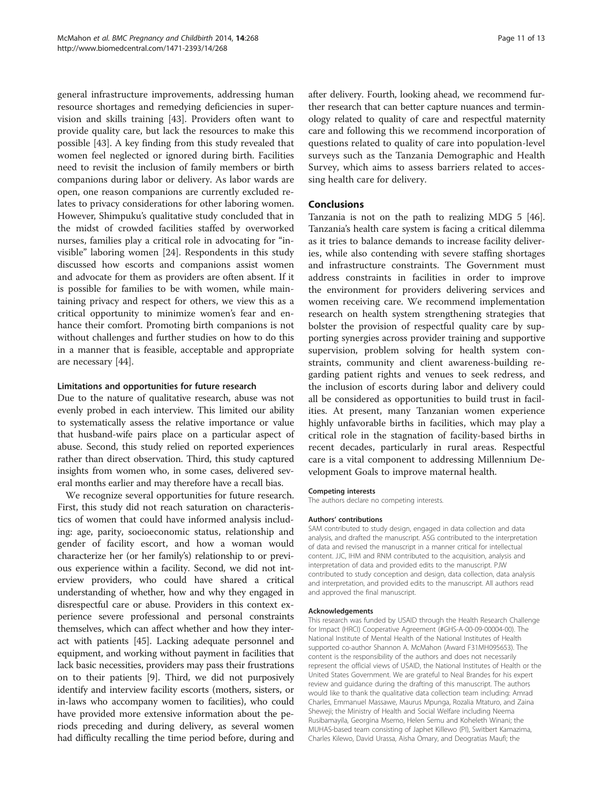general infrastructure improvements, addressing human resource shortages and remedying deficiencies in supervision and skills training [\[43](#page-12-0)]. Providers often want to provide quality care, but lack the resources to make this possible [\[43](#page-12-0)]. A key finding from this study revealed that women feel neglected or ignored during birth. Facilities need to revisit the inclusion of family members or birth companions during labor or delivery. As labor wards are open, one reason companions are currently excluded relates to privacy considerations for other laboring women. However, Shimpuku's qualitative study concluded that in the midst of crowded facilities staffed by overworked nurses, families play a critical role in advocating for "invisible" laboring women [[24](#page-11-0)]. Respondents in this study discussed how escorts and companions assist women and advocate for them as providers are often absent. If it is possible for families to be with women, while maintaining privacy and respect for others, we view this as a critical opportunity to minimize women's fear and enhance their comfort. Promoting birth companions is not without challenges and further studies on how to do this in a manner that is feasible, acceptable and appropriate are necessary [[44\]](#page-12-0).

# Limitations and opportunities for future research

Due to the nature of qualitative research, abuse was not evenly probed in each interview. This limited our ability to systematically assess the relative importance or value that husband-wife pairs place on a particular aspect of abuse. Second, this study relied on reported experiences rather than direct observation. Third, this study captured insights from women who, in some cases, delivered several months earlier and may therefore have a recall bias.

We recognize several opportunities for future research. First, this study did not reach saturation on characteristics of women that could have informed analysis including: age, parity, socioeconomic status, relationship and gender of facility escort, and how a woman would characterize her (or her family's) relationship to or previous experience within a facility. Second, we did not interview providers, who could have shared a critical understanding of whether, how and why they engaged in disrespectful care or abuse. Providers in this context experience severe professional and personal constraints themselves, which can affect whether and how they interact with patients [\[45\]](#page-12-0). Lacking adequate personnel and equipment, and working without payment in facilities that lack basic necessities, providers may pass their frustrations on to their patients [\[9\]](#page-11-0). Third, we did not purposively identify and interview facility escorts (mothers, sisters, or in-laws who accompany women to facilities), who could have provided more extensive information about the periods preceding and during delivery, as several women had difficulty recalling the time period before, during and after delivery. Fourth, looking ahead, we recommend further research that can better capture nuances and terminology related to quality of care and respectful maternity care and following this we recommend incorporation of questions related to quality of care into population-level surveys such as the Tanzania Demographic and Health Survey, which aims to assess barriers related to accessing health care for delivery.

# Conclusions

Tanzania is not on the path to realizing MDG 5 [\[46](#page-12-0)]. Tanzania's health care system is facing a critical dilemma as it tries to balance demands to increase facility deliveries, while also contending with severe staffing shortages and infrastructure constraints. The Government must address constraints in facilities in order to improve the environment for providers delivering services and women receiving care. We recommend implementation research on health system strengthening strategies that bolster the provision of respectful quality care by supporting synergies across provider training and supportive supervision, problem solving for health system constraints, community and client awareness-building regarding patient rights and venues to seek redress, and the inclusion of escorts during labor and delivery could all be considered as opportunities to build trust in facilities. At present, many Tanzanian women experience highly unfavorable births in facilities, which may play a critical role in the stagnation of facility-based births in recent decades, particularly in rural areas. Respectful care is a vital component to addressing Millennium Development Goals to improve maternal health.

#### Competing interests

The authors declare no competing interests.

#### Authors' contributions

SAM contributed to study design, engaged in data collection and data analysis, and drafted the manuscript. ASG contributed to the interpretation of data and revised the manuscript in a manner critical for intellectual content. JJC, IHM and RNM contributed to the acquisition, analysis and interpretation of data and provided edits to the manuscript. PJW contributed to study conception and design, data collection, data analysis and interpretation, and provided edits to the manuscript. All authors read and approved the final manuscript.

#### Acknowledgements

This research was funded by USAID through the Health Research Challenge for Impact (HRCI) Cooperative Agreement (#GHS-A-00-09-00004-00). The National Institute of Mental Health of the National Institutes of Health supported co-author Shannon A. McMahon (Award F31MH095653). The content is the responsibility of the authors and does not necessarily represent the official views of USAID, the National Institutes of Health or the United States Government. We are grateful to Neal Brandes for his expert review and guidance during the drafting of this manuscript. The authors would like to thank the qualitative data collection team including: Amrad Charles, Emmanuel Massawe, Maurus Mpunga, Rozalia Mtaturo, and Zaina Sheweji; the Ministry of Health and Social Welfare including Neema Rusibamayila, Georgina Msemo, Helen Semu and Koheleth Winani; the MUHAS-based team consisting of Japhet Killewo (PI), Switbert Kamazima, Charles Kilewo, David Urassa, Aisha Omary, and Deogratias Maufi; the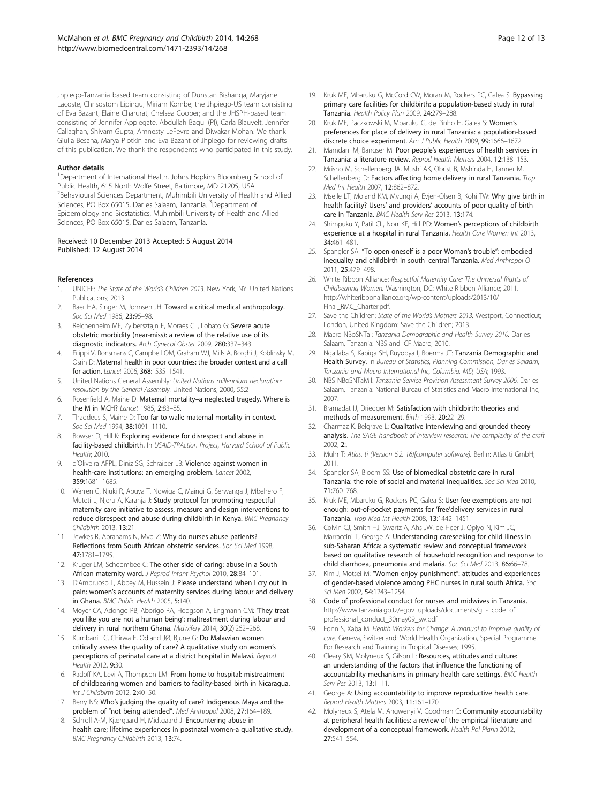<span id="page-11-0"></span>Jhpiego-Tanzania based team consisting of Dunstan Bishanga, Maryjane Lacoste, Chrisostom Lipingu, Miriam Kombe; the Jhpiego-US team consisting of Eva Bazant, Elaine Charurat, Chelsea Cooper; and the JHSPH-based team consisting of Jennifer Applegate, Abdullah Baqui (PI), Carla Blauvelt, Jennifer Callaghan, Shivam Gupta, Amnesty LeFevre and Diwakar Mohan. We thank Giulia Besana, Marya Plotkin and Eva Bazant of Jhpiego for reviewing drafts of this publication. We thank the respondents who participated in this study.

#### Author details

<sup>1</sup>Department of International Health, Johns Hopkins Bloomberg School of Public Health, 615 North Wolfe Street, Baltimore, MD 21205, USA. <sup>2</sup> Behavioural Sciences Department, Muhimbili University of Health and Allied Sciences, PO Box 65015, Dar es Salaam, Tanzania. <sup>3</sup>Department of Epidemiology and Biostatistics, Muhimbili University of Health and Allied Sciences, PO Box 65015, Dar es Salaam, Tanzania.

#### Received: 10 December 2013 Accepted: 5 August 2014 Published: 12 August 2014

#### References

- 1. UNICEF: The State of the World's Children 2013. New York, NY: United Nations Publications; 2013.
- Baer HA, Singer M, Johnsen JH: Toward a critical medical anthropology. Soc Sci Med 1986, 23:95–98.
- Reichenheim ME, Zylbersztajn F, Moraes CL, Lobato G: Severe acute obstetric morbidity (near-miss): a review of the relative use of its diagnostic indicators. Arch Gynecol Obstet 2009, 280:337–343.
- 4. Filippi V, Ronsmans C, Campbell OM, Graham WJ, Mills A, Borghi J, Koblinsky M, Osrin D: Maternal health in poor countries: the broader context and a call for action. Lancet 2006, 368:1535–1541.
- 5. United Nations General Assembly: United Nations millennium declaration: resolution by the General Assembly. United Nations; 2000, 55:2
- 6. Rosenfield A, Maine D: Maternal mortality–a neglected tragedy. Where is the M in MCH? Lancet 1985, 2:83-85.
- 7. Thaddeus S, Maine D: Too far to walk: maternal mortality in context. Soc Sci Med 1994, 38:1091–1110.
- 8. Bowser D, Hill K: Exploring evidence for disrespect and abuse in facility-based childbirth. In USAID-TRAction Project, Harvard School of Public Health; 2010.
- 9. d'Oliveira AFPL, Diniz SG, Schraiber LB: Violence against women in health-care institutions: an emerging problem. Lancet 2002, 359:1681–1685.
- 10. Warren C, Njuki R, Abuya T, Ndwiga C, Maingi G, Serwanga J, Mbehero F, Muteti L, Njeru A, Karanja J: Study protocol for promoting respectful maternity care initiative to assess, measure and design interventions to reduce disrespect and abuse during childbirth in Kenya. BMC Pregnancy Childbirth 2013, 13:21.
- 11. Jewkes R, Abrahams N, Mvo Z: Why do nurses abuse patients? Reflections from South African obstetric services. Soc Sci Med 1998, 47:1781–1795.
- 12. Kruger LM, Schoombee C: The other side of caring: abuse in a South African maternity ward. J Reprod Infant Psychol 2010, 28:84–101.
- 13. D'Ambruoso L, Abbey M, Hussein J: Please understand when I cry out in pain: women's accounts of maternity services during labour and delivery in Ghana. BMC Public Health 2005, 5:140.
- 14. Moyer CA, Adongo PB, Aborigo RA, Hodgson A, Engmann CM: 'They treat you like you are not a human being': maltreatment during labour and delivery in rural northern Ghana. Midwifery 2014, 30(2):262–268.
- 15. Kumbani LC, Chirwa E, Odland JØ, Bjune G: Do Malawian women critically assess the quality of care? A qualitative study on women's perceptions of perinatal care at a district hospital in Malawi. Reprod Health 2012, 9:30.
- 16. Radoff KA, Levi A, Thompson LM: From home to hospital: mistreatment of childbearing women and barriers to facility-based birth in Nicaragua. Int J Childbirth 2012, 2:40–50.
- 17. Berry NS: Who's judging the quality of care? Indigenous Maya and the problem of "not being attended". Med Anthropol 2008, 27:164–189.
- 18. Schroll A-M, Kjærgaard H, Midtgaard J: Encountering abuse in health care; lifetime experiences in postnatal women-a qualitative study. BMC Pregnancy Childbirth 2013, 13:74.

Tanzania. Health Policy Plan 2009, 24:279-288. 20. Kruk ME, Paczkowski M, Mbaruku G, de Pinho H, Galea S: Women's preferences for place of delivery in rural Tanzania: a population-based

primary care facilities for childbirth: a population-based study in rural

- discrete choice experiment. Am J Public Health 2009, 99:1666–1672. 21. Mamdani M, Bangser M: Poor people's experiences of health services in
- Tanzania: a literature review. Reprod Health Matters 2004, 12:138-153.
- 22. Mrisho M, Schellenberg JA, Mushi AK, Obrist B, Mshinda H, Tanner M, Schellenberg D: Factors affecting home delivery in rural Tanzania. Trop Med Int Health 2007, 12:862–872.
- 23. Mselle LT, Moland KM, Mvungi A, Evjen-Olsen B, Kohi TW: Why give birth in health facility? Users' and providers' accounts of poor quality of birth care in Tanzania. BMC Health Serv Res 2013, 13:174.
- 24. Shimpuku Y, Patil CL, Norr KF, Hill PD: Women's perceptions of childbirth experience at a hospital in rural Tanzania. Health Care Women Int 2013, 34:461–481.
- Spangler SA: "To open oneself is a poor Woman's trouble": embodied inequality and childbirth in south–central Tanzania. Med Anthropol Q 2011, 25:479–498.
- 26. White Ribbon Alliance: Respectful Maternity Care: The Universal Rights of Childbearing Women. Washington, DC: White Ribbon Alliance; 2011. [http://whiteribbonalliance.org/wp-content/uploads/2013/10/](http://whiteribbonalliance.org/wp-content/uploads/2013/10/Final_RMC_Charter.pdf) [Final\\_RMC\\_Charter.pdf.](http://whiteribbonalliance.org/wp-content/uploads/2013/10/Final_RMC_Charter.pdf)
- 27. Save the Children: State of the World's Mothers 2013. Westport, Connecticut; London, United Kingdom: Save the Children; 2013.
- 28. Macro NBoSNTal: Tanzania Demographic and Health Survey 2010. Dar es Salaam, Tanzania: NBS and ICF Macro; 2010.
- 29. Ngallaba S, Kapiga SH, Ruyobya I, Boerma JT: Tanzania Demographic and Health Survey. In Bureau of Statistics, Planning Commission, Dar es Salaam, Tanzania and Macro International Inc, Columbia, MD, USA; 1993.
- 30. NBS NBoSNTaMII: Tanzania Service Provision Assessment Survey 2006. Dar es Salaam, Tanzania: National Bureau of Statistics and Macro International Inc; 2007.
- 31. Bramadat IJ, Driedger M: Satisfaction with childbirth: theories and methods of measurement. Birth 1993, 20:22–29.
- 32. Charmaz K, Belgrave L: Qualitative interviewing and grounded theory analysis. The SAGE handbook of interview research: The complexity of the craft 2002, 2:.
- 33. Muhr T: Atlas. ti (Version 6.2. 16)[computer software]. Berlin: Atlas ti GmbH; 2011.
- 34. Spangler SA, Bloom SS: Use of biomedical obstetric care in rural Tanzania: the role of social and material inequalities. Soc Sci Med 2010, 71:760–768.
- 35. Kruk ME, Mbaruku G, Rockers PC, Galea S: User fee exemptions are not enough: out-of-pocket payments for 'free'delivery services in rural Tanzania. Trop Med Int Health 2008, 13:1442–1451.
- 36. Colvin CJ, Smith HJ, Swartz A, Ahs JW, de Heer J, Opiyo N, Kim JC, Marraccini T, George A: Understanding careseeking for child illness in sub-Saharan Africa: a systematic review and conceptual framework based on qualitative research of household recognition and response to child diarrhoea, pneumonia and malaria. Soc Sci Med 2013, 86:66–78.
- 37. Kim J, Motsei M: "Women enjoy punishment": attitudes and experiences of gender-based violence among PHC nurses in rural south Africa. Soc Sci Med 2002, 54:1243–1254.
- 38. Code of professional conduct for nurses and midwives in Tanzania. [http://www.tanzania.go.tz/egov\\_uploads/documents/g\\_-\\_code\\_of\\_](http://www.tanzania.go.tz/egov_uploads/documents/g_-_code_of_professional_conduct_30may09_sw.pdf) [professional\\_conduct\\_30may09\\_sw.pdf](http://www.tanzania.go.tz/egov_uploads/documents/g_-_code_of_professional_conduct_30may09_sw.pdf).
- 39. Fonn S, Xaba M: Health Workers for Change: A manual to improve quality of care. Geneva, Switzerland: World Health Organization, Special Programme For Research and Training in Tropical Diseases; 1995.
- 40. Cleary SM, Molyneux S, Gilson L: Resources, attitudes and culture: an understanding of the factors that influence the functioning of accountability mechanisms in primary health care settings. BMC Health Serv Res 2013, 13:1-11.
- 41. George A: Using accountability to improve reproductive health care. Reprod Health Matters 2003, 11:161–170.
- 42. Molyneux S, Atela M, Angwenyi V, Goodman C: Community accountability at peripheral health facilities: a review of the empirical literature and development of a conceptual framework. Health Pol Plann 2012, 27:541–554.